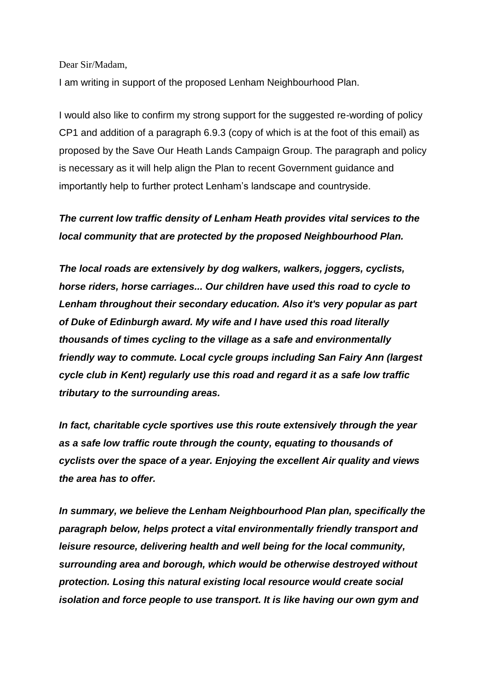Dear Sir/Madam,

I am writing in support of the proposed Lenham Neighbourhood Plan.

I would also like to confirm my strong support for the suggested re-wording of policy CP1 and addition of a paragraph 6.9.3 (copy of which is at the foot of this email) as proposed by the Save Our Heath Lands Campaign Group. The paragraph and policy is necessary as it will help align the Plan to recent Government guidance and importantly help to further protect Lenham's landscape and countryside.

## *The current low traffic density of Lenham Heath provides vital services to the local community that are protected by the proposed Neighbourhood Plan.*

*The local roads are extensively by dog walkers, walkers, joggers, cyclists, horse riders, horse carriages... Our children have used this road to cycle to Lenham throughout their secondary education. Also it's very popular as part of Duke of Edinburgh award. My wife and I have used this road literally thousands of times cycling to the village as a safe and environmentally friendly way to commute. Local cycle groups including San Fairy Ann (largest cycle club in Kent) regularly use this road and regard it as a safe low traffic tributary to the surrounding areas.* 

*In fact, charitable cycle sportives use this route extensively through the year as a safe low traffic route through the county, equating to thousands of cyclists over the space of a year. Enjoying the excellent Air quality and views the area has to offer.*

*In summary, we believe the Lenham Neighbourhood Plan plan, specifically the paragraph below, helps protect a vital environmentally friendly transport and leisure resource, delivering health and well being for the local community, surrounding area and borough, which would be otherwise destroyed without protection. Losing this natural existing local resource would create social isolation and force people to use transport. It is like having our own gym and*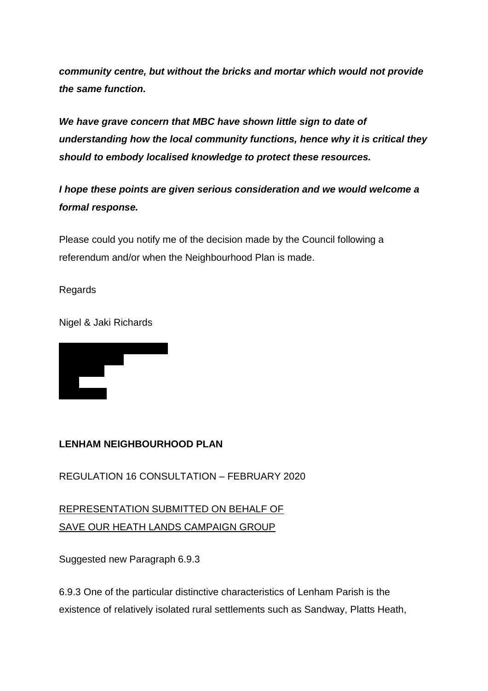*community centre, but without the bricks and mortar which would not provide the same function.*

*We have grave concern that MBC have shown little sign to date of understanding how the local community functions, hence why it is critical they should to embody localised knowledge to protect these resources.* 

*I hope these points are given serious consideration and we would welcome a formal response.*

Please could you notify me of the decision made by the Council following a referendum and/or when the Neighbourhood Plan is made.

Regards

Nigel & Jaki Richards



## **LENHAM NEIGHBOURHOOD PLAN**

REGULATION 16 CONSULTATION – FEBRUARY 2020

REPRESENTATION SUBMITTED ON BEHALF OF SAVE OUR HEATH LANDS CAMPAIGN GROUP

Suggested new Paragraph 6.9.3

6.9.3 One of the particular distinctive characteristics of Lenham Parish is the existence of relatively isolated rural settlements such as Sandway, Platts Heath,